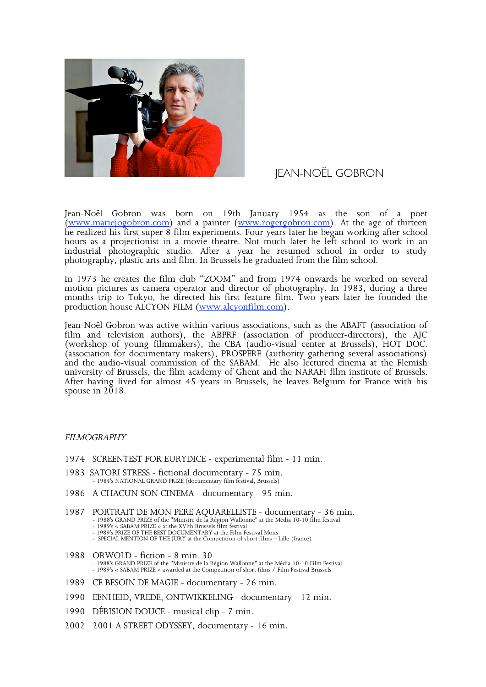

## **IEAN-NOËL GOBRON**

Jean-Noël Gobron was born on 19th January 1954 as the son of a poet (www.mariejogobron.com) and a painter (www.rogergobron.com). At the age of thirteen he realized his first super 8 film experiments. Four years later he began working after school hours as a projectionist in a movie theatre. Not much later he left school to work in an industrial photographic studio. After a year he resumed school in order to study photography, plastic arts and film. In Brussels he graduated from the film school.

In 1973 he creates the film club "ZOOM" and from 1974 onwards he worked on several motion pictures as camera operator and director of photography. In 1983, during a three months trip to Tokyo, he directed his first feature film. Two years later he founded the production house ALCYON FILM (www.alcyonfilm.com).

Jean-Noël Gobron was active within various associations, such as the ABAFT (association of film and television authors), the ABPRF (association of producer-directors), the AJC (workshop of young filmmakers), the CBA (audio-visual center at Brussels), HOT DOC. (association for documentary makers), PROSPERE (authority gathering several associations) and the audio-visual commission of the SABAM. He also lectured cinema at the Flemish university of Brussels, the film academy of Ghent and the NARAFI film institute of Brussels. After having lived for almost 45 years in Brussels, he leaves Belgium for France with his spouse in  $2018$ .

## FILMOGRAPHY

- 1974 SCREENTEST FOR EURYDICE experimental film 11 min.
- 1983 SATORI STRESS fictional documentary 75 min. 1984's NATIONAL GRAND PRIZE (documentary film festival, Brussels)
- 1986 A CHACUN SON CINEMA documentary 95 min.
- 1987 PORTRAIT DE MON PERE AQUARELLISTE documentary 36 min.<br>- 1988's GRAND PRIZE of the "Ministre de la Région Wallonne" at the Média 10-10 film festival<br>- 1989's « SABAM PRIZE » at the XVIth Brussels film festival
	-
	- 1989's PRIZE OF THE BEST DOCUMENTARY at the Film Festival Mons<br>- SPECIAL MENTION OF THE JURY at the Competition of short films Lille (france)
- 1988 ORWOLD fiction 8 min. 30<br>- 1988's GRAND PRIZE of the "Ministre de la Région Wallonne" at the Média 10-10 Film Festival<br>- 1989's « SABAM PRIZE » awarded at the Competition of short films / Film Festival Brussels
- 1989 CE BESOIN DE MAGIE documentary 26 min.
- 1990 EENHEID, VREDE, ONTWIKKELING documentary 12 min.
- 1990 DÉRISION DOUCE musical clip 7 min.
- 2002 2001 A STREET ODYSSEY, documentary 16 min.